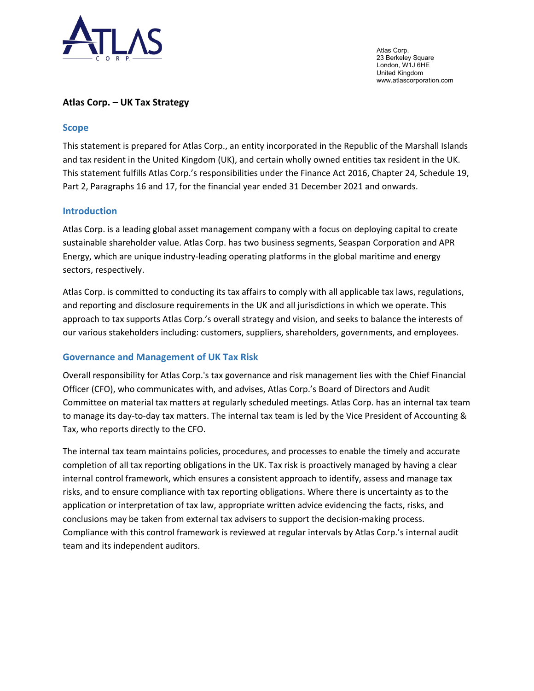

Atlas Corp. 23 Berkeley Square London, W1J 6HE United Kingdom www.atlascorporation.com

# **Atlas Corp. – UK Tax Strategy**

### **Scope**

This statement is prepared for Atlas Corp., an entity incorporated in the Republic of the Marshall Islands and tax resident in the United Kingdom (UK), and certain wholly owned entities tax resident in the UK. This statement fulfills Atlas Corp.'s responsibilities under the Finance Act 2016, Chapter 24, Schedule 19, Part 2, Paragraphs 16 and 17, for the financial year ended 31 December 2021 and onwards.

# **Introduction**

Atlas Corp. is a leading global asset management company with a focus on deploying capital to create sustainable shareholder value. Atlas Corp. has two business segments, Seaspan Corporation and APR Energy, which are unique industry-leading operating platforms in the global maritime and energy sectors, respectively.

Atlas Corp. is committed to conducting its tax affairs to comply with all applicable tax laws, regulations, and reporting and disclosure requirements in the UK and all jurisdictions in which we operate. This approach to tax supports Atlas Corp.'s overall strategy and vision, and seeks to balance the interests of our various stakeholders including: customers, suppliers, shareholders, governments, and employees.

### **Governance and Management of UK Tax Risk**

Overall responsibility for Atlas Corp.'s tax governance and risk management lies with the Chief Financial Officer (CFO), who communicates with, and advises, Atlas Corp.'s Board of Directors and Audit Committee on material tax matters at regularly scheduled meetings. Atlas Corp. has an internal tax team to manage its day-to-day tax matters. The internal tax team is led by the Vice President of Accounting & Tax, who reports directly to the CFO.

The internal tax team maintains policies, procedures, and processes to enable the timely and accurate completion of all tax reporting obligations in the UK. Tax risk is proactively managed by having a clear internal control framework, which ensures a consistent approach to identify, assess and manage tax risks, and to ensure compliance with tax reporting obligations. Where there is uncertainty as to the application or interpretation of tax law, appropriate written advice evidencing the facts, risks, and conclusions may be taken from external tax advisers to support the decision-making process. Compliance with this control framework is reviewed at regular intervals by Atlas Corp.'s internal audit team and its independent auditors.